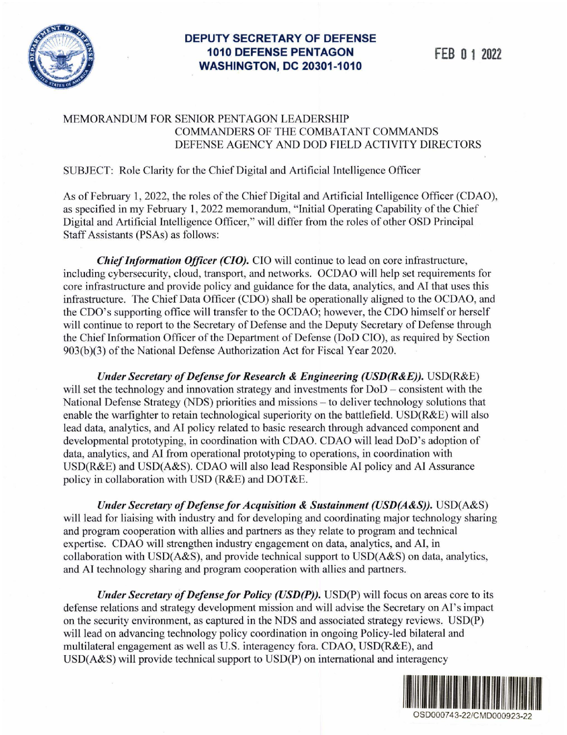

# **DEPUTY SECRETARY OF DEFENSE 1010 DEFENSE PENTAGON FEB O 1 2022 WASHINGTON, DC 20301-1010**

## MEMORANDUM FOR SENIOR PENTAGON LEADERSHIP COMMANDERS OF THE COMBATANT COMMANDS DEFENSE AGENCY AND DOD FIELD ACTIVITY DIRECTORS

### SUBJECT: Role Clarity for the Chief Digital and Artificial Intelligence Officer

As of February 1, 2022, the roles of the Chief Digital and Artificial Intelligence Officer (CDAO), as specified in my February 1, 2022 memorandum, "Initial Operating Capability of the Chief Digital and Artificial Intelligence Officer," will differ from the roles of other OSD Principal Staff Assistants (PSAs) as follows:

*Chief Information Officer (CIO).* CIO will continue to lead on core infrastructure, including cybersecurity, cloud, transport, and networks. OCDAO will help set requirements for core infrastructure and provide policy and guidance for the data, analytics, and AI that uses this infrastructure. The Chief Data Officer (CDO) shall be operationally aligned to the OCDAO, and the CDO's supporting office will transfer to the OCDAO; however, the CDO himself or herself will continue to report to the Secretary of Defense and the Deputy Secretary of Defense through the Chief Information Officer of the Department of Defense (DoD CIO), as required by Section 903(b)(3) of the National Defense Authorization Act for Fiscal Year 2020.

*Under Secretary of Defense for Research* & *Engineering (USD(R&E)).* USD(R&E) will set the technology and innovation strategy and investments for  $DoD$  – consistent with the National Defense Strategy (NDS) priorities and missions - to deliver technology solutions that enable the warfighter to retain technological superiority on the battlefield. USD(R&E) will also lead data, analytics, and Al policy related to basic research through advanced component and developmental prototyping, in coordination with CDAO. CDAO will lead DoD's adoption of data, analytics, and AI from operational prototyping to operations, in coordination with USD(R&E) and USD(A&S). CDAO will also lead Responsible AI policy and Al Assurance policy in collaboration with USD ( $R&E$ ) and DOT $&E$ .

*Under Secretary of Defense for Acquisition* & *Sustainment (USD(A&S)).* USD(A&S) will lead for liaising with industry and for developing and coordinating major technology sharing and program cooperation with allies and partners as they relate to program and technical expertise. CDAO will strengthen industry engagement on data, analytics, and AI, in collaboration with USD(A&S), and provide technical support to USD(A&S) on data, analytics, and AI technology sharing and program cooperation with allies and partners.

*Under Secretary of Defense for Policy (USD(P))*. USD(P) will focus on areas core to its defense relations and strategy development mission and will advise the Secretary on Al's impact on the security environment, as captured in the NDS and associated strategy reviews. USD(P) will lead on advancing technology policy coordination in ongoing Policy-led bilateral and multilateral engagement as well as U.S. interagency fora. CDAO, USD(R&E), and USD(A&S) will provide technical support to USD(P) on international and interagency